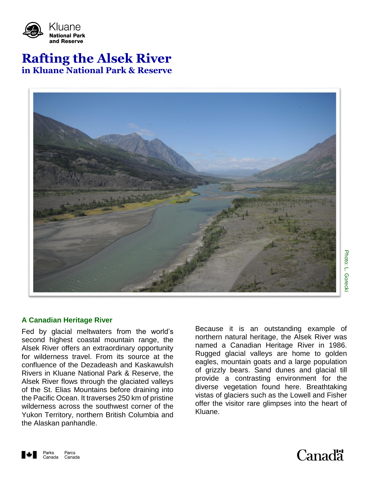

# **Rafting the Alsek River in Kluane National Park & Reserve**



# **A Canadian Heritage River**

Fed by glacial meltwaters from the world's second highest coastal mountain range, the Alsek River offers an extraordinary opportunity for wilderness travel. From its source at the confluence of the Dezadeash and Kaskawulsh Rivers in Kluane National Park & Reserve, the Alsek River flows through the glaciated valleys of the St. Elias Mountains before draining into the Pacific Ocean. It traverses 250 km of pristine wilderness across the southwest corner of the Yukon Territory, northern British Columbia and the Alaskan panhandle.

Because it is an outstanding example of northern natural heritage, the Alsek River was named a Canadian Heritage River in 1986. Rugged glacial valleys are home to golden eagles, mountain goats and a large population of grizzly bears. Sand dunes and glacial till provide a contrasting environment for the diverse vegetation found here. Breathtaking vistas of glaciers such as the Lowell and Fisher offer the visitor rare glimpses into the heart of Kluane.



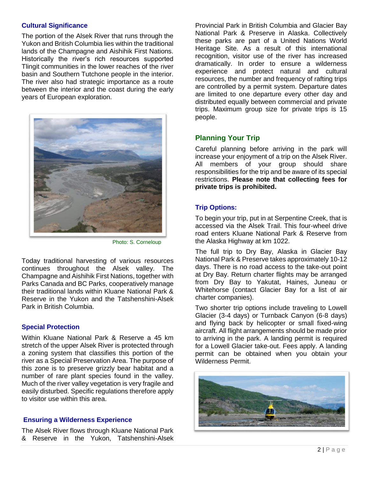# **Cultural Significance**

The portion of the Alsek River that runs through the Yukon and British Columbia lies within the traditional lands of the Champagne and Aishihik First Nations. Historically the river's rich resources supported Tlingit communities in the lower reaches of the river basin and Southern Tutchone people in the interior. The river also had strategic importance as a route between the interior and the coast during the early years of European exploration.



Photo: S. Corneloup

Today traditional harvesting of various resources continues throughout the Alsek valley. The Champagne and Aishihik First Nations, together with Parks Canada and BC Parks, cooperatively manage their traditional lands within Kluane National Park & Reserve in the Yukon and the Tatshenshini-Alsek Park in British Columbia.

# **Special Protection**

Within Kluane National Park & Reserve a 45 km stretch of the upper Alsek River is protected through a zoning system that classifies this portion of the river as a Special Preservation Area. The purpose of this zone is to preserve grizzly bear habitat and a number of rare plant species found in the valley. Much of the river valley vegetation is very fragile and easily disturbed. Specific regulations therefore apply to visitor use within this area.

# **Ensuring a Wilderness Experience**

The Alsek River flows through Kluane National Park & Reserve in the Yukon, Tatshenshini-Alsek Provincial Park in British Columbia and Glacier Bay National Park & Preserve in Alaska. Collectively these parks are part of a United Nations World Heritage Site. As a result of this international recognition, visitor use of the river has increased dramatically. In order to ensure a wilderness experience and protect natural and cultural resources, the number and frequency of rafting trips are controlled by a permit system. Departure dates are limited to one departure every other day and distributed equally between commercial and private trips. Maximum group size for private trips is 15 people.

# **Planning Your Trip**

Careful planning before arriving in the park will increase your enjoyment of a trip on the Alsek River. All members of your group should share responsibilities for the trip and be aware of its special restrictions. **Please note that collecting fees for private trips is prohibited.**

# **Trip Options:**

To begin your trip, put in at Serpentine Creek, that is accessed via the Alsek Trail. This four-wheel drive road enters Kluane National Park & Reserve from the Alaska Highway at km 1022.

The full trip to Dry Bay, Alaska in Glacier Bay National Park & Preserve takes approximately 10-12 days. There is no road access to the take-out point at Dry Bay. Return charter flights may be arranged from Dry Bay to Yakutat, Haines, Juneau or Whitehorse (contact Glacier Bay for a list of air charter companies).

Two shorter trip options include traveling to Lowell Glacier (3-4 days) or Turnback Canyon (6-8 days) and flying back by helicopter or small fixed-wing aircraft. All flight arrangements should be made prior to arriving in the park. A landing permit is required for a Lowell Glacier take-out. Fees apply. A landing permit can be obtained when you obtain your Wilderness Permit.

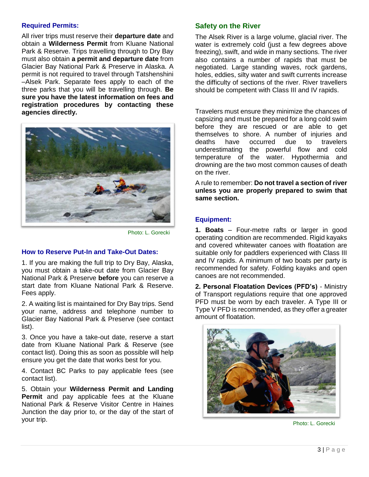# **Required Permits:**

All river trips must reserve their **departure date** and obtain a **Wilderness Permit** from Kluane National Park & Reserve. Trips travelling through to Dry Bay must also obtain **a permit and departure date** from Glacier Bay National Park & Preserve in Alaska. A permit is not required to travel through Tatshenshini –Alsek Park. Separate fees apply to each of the three parks that you will be travelling through. **Be sure you have the latest information on fees and registration procedures by contacting these agencies directly.** 



Photo: L. Gorecki

# **How to Reserve Put-In and Take-Out Dates:**

1. If you are making the full trip to Dry Bay, Alaska, you must obtain a take-out date from Glacier Bay National Park & Preserve **before** you can reserve a start date from Kluane National Park & Reserve. Fees apply.

2. A waiting list is maintained for Dry Bay trips. Send your name, address and telephone number to Glacier Bay National Park & Preserve (see contact list).

3. Once you have a take-out date, reserve a start date from Kluane National Park & Reserve (see contact list). Doing this as soon as possible will help ensure you get the date that works best for you.

4. Contact BC Parks to pay applicable fees (see contact list).

5. Obtain your **Wilderness Permit and Landing Permit** and pay applicable fees at the Kluane National Park & Reserve Visitor Centre in Haines Junction the day prior to, or the day of the start of your trip.

# **Safety on the River**

The Alsek River is a large volume, glacial river. The water is extremely cold (just a few degrees above freezing), swift, and wide in many sections. The river also contains a number of rapids that must be negotiated. Large standing waves, rock gardens, holes, eddies, silty water and swift currents increase the difficulty of sections of the river. River travellers should be competent with Class III and IV rapids.

Travelers must ensure they minimize the chances of capsizing and must be prepared for a long cold swim before they are rescued or are able to get themselves to shore. A number of injuries and deaths have occurred due to travelers underestimating the powerful flow and cold temperature of the water. Hypothermia and drowning are the two most common causes of death on the river.

A rule to remember: **Do not travel a section of river unless you are properly prepared to swim that same section.** 

# **Equipment:**

**1. Boats** – Four-metre rafts or larger in good operating condition are recommended. Rigid kayaks and covered whitewater canoes with floatation are suitable only for paddlers experienced with Class III and IV rapids. A minimum of two boats per party is recommended for safety. Folding kayaks and open canoes are not recommended.

**2. Personal Floatation Devices (PFD's)** - Ministry of Transport regulations require that one approved PFD must be worn by each traveler. A Type III or Type V PFD is recommended, as they offer a greater amount of floatation.



Photo: L. Gorecki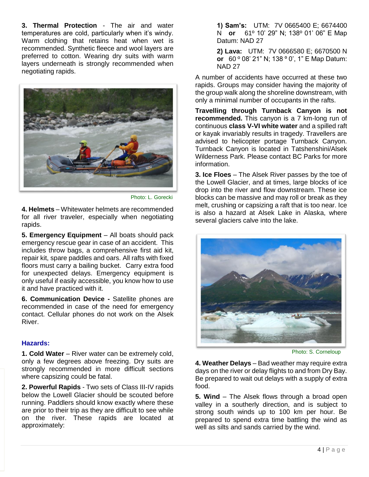**3. Thermal Protection** - The air and water temperatures are cold, particularly when it's windy. Warm clothing that retains heat when wet is recommended. Synthetic fleece and wool layers are preferred to cotton. Wearing dry suits with warm layers underneath is strongly recommended when negotiating rapids.



Photo: L. Gorecki

**4. Helmets** – Whitewater helmets are recommended for all river traveler, especially when negotiating rapids.

**5. Emergency Equipment** – All boats should pack emergency rescue gear in case of an accident. This includes throw bags, a comprehensive first aid kit, repair kit, spare paddles and oars. All rafts with fixed floors must carry a bailing bucket. Carry extra food for unexpected delays. Emergency equipment is only useful if easily accessible, you know how to use it and have practiced with it.

**6. Communication Device -** Satellite phones are recommended in case of the need for emergency contact. Cellular phones do not work on the Alsek River.

# **Hazards:**

**1. Cold Water** – River water can be extremely cold, only a few degrees above freezing. Dry suits are strongly recommended in more difficult sections where capsizing could be fatal.

**2. Powerful Rapids** - Two sets of Class III-IV rapids below the Lowell Glacier should be scouted before running. Paddlers should know exactly where these are prior to their trip as they are difficult to see while on the river. These rapids are located at approximately:

**1) Sam's:** UTM: 7V 0665400 E; 6674400 N **or** 61º 10' 29" N; 138º 01' 06" E Map Datum: NAD 27

**2) Lava:** UTM: 7V 0666580 E; 6670500 N **or** 60 º 08' 21" N; 138 º 0', 1" E Map Datum: NAD 27

A number of accidents have occurred at these two rapids. Groups may consider having the majority of the group walk along the shoreline downstream, with only a minimal number of occupants in the rafts.

**Travelling through Turnback Canyon is not recommended.** This canyon is a 7 km-long run of continuous **class V-VI white water** and a spilled raft or kayak invariably results in tragedy. Travellers are advised to helicopter portage Turnback Canyon. Turnback Canyon is located in Tatshenshini/Alsek Wilderness Park. Please contact BC Parks for more information.

**3. Ice Floes** – The Alsek River passes by the toe of the Lowell Glacier, and at times, large blocks of ice drop into the river and flow downstream. These ice blocks can be massive and may roll or break as they melt, crushing or capsizing a raft that is too near. Ice is also a hazard at Alsek Lake in Alaska, where several glaciers calve into the lake.



Photo: S. Corneloup

**4. Weather Delays** – Bad weather may require extra days on the river or delay flights to and from Dry Bay. Be prepared to wait out delays with a supply of extra food.

**5. Wind** – The Alsek flows through a broad open valley in a southerly direction, and is subject to strong south winds up to 100 km per hour. Be prepared to spend extra time battling the wind as well as silts and sands carried by the wind.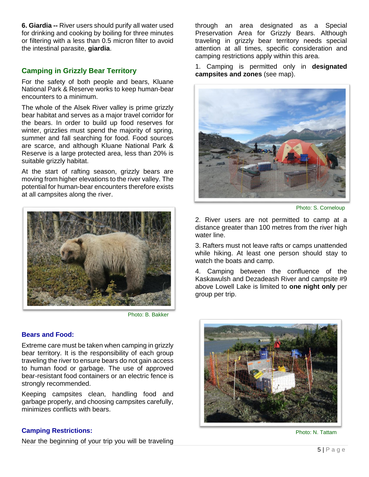**6. Giardia --** River users should purify all water used for drinking and cooking by boiling for three minutes or filtering with a less than 0.5 micron filter to avoid the intestinal parasite, **giardia**.

# **Camping in Grizzly Bear Territory**

For the safety of both people and bears, Kluane National Park & Reserve works to keep human-bear encounters to a minimum.

The whole of the Alsek River valley is prime grizzly bear habitat and serves as a major travel corridor for the bears. In order to build up food reserves for winter, grizzlies must spend the majority of spring, summer and fall searching for food. Food sources are scarce, and although Kluane National Park & Reserve is a large protected area, less than 20% is suitable grizzly habitat.

At the start of rafting season, grizzly bears are moving from higher elevations to the river valley. The potential for human-bear encounters therefore exists at all campsites along the river.



Photo: B. Bakker

# **Bears and Food:**

Extreme care must be taken when camping in grizzly bear territory. It is the responsibility of each group traveling the river to ensure bears do not gain access to human food or garbage. The use of approved bear-resistant food containers or an electric fence is strongly recommended.

Keeping campsites clean, handling food and garbage properly, and choosing campsites carefully, minimizes conflicts with bears.

# **Camping Restrictions:**

Near the beginning of your trip you will be traveling

through an area designated as a Special Preservation Area for Grizzly Bears. Although traveling in grizzly bear territory needs special attention at all times, specific consideration and camping restrictions apply within this area.

1. Camping is permitted only in **designated campsites and zones** (see map).



Photo: S. Corneloup

2. River users are not permitted to camp at a distance greater than 100 metres from the river high water line.

3. Rafters must not leave rafts or camps unattended while hiking. At least one person should stay to watch the boats and camp.

4. Camping between the confluence of the Kaskawulsh and Dezadeash River and campsite #9 above Lowell Lake is limited to **one night only** per group per trip.



Photo: N. Tattam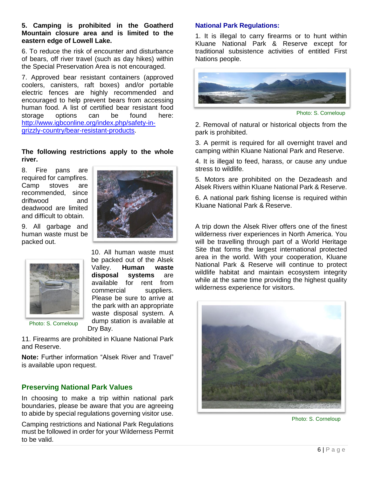#### **5. Camping is prohibited in the Goatherd Mountain closure area and is limited to the eastern edge of Lowell Lake.**

6. To reduce the risk of encounter and disturbance of bears, off river travel (such as day hikes) within the Special Preservation Area is not encouraged.

7. Approved bear resistant containers (approved coolers, canisters, raft boxes) and/or portable electric fences are highly recommended and encouraged to help prevent bears from accessing human food. A list of certified bear resistant food storage options can be found here: [http://www.igbconline.org/index.php/safety-in](http://www.igbconline.org/index.php/safety-in-grizzly-country/bear-resistant-products)[grizzly-country/bear-resistant-products.](http://www.igbconline.org/index.php/safety-in-grizzly-country/bear-resistant-products)

# **The following restrictions apply to the whole river.**

8. Fire pans are required for campfires. Camp stoves are recommended, since driftwood and deadwood are limited and difficult to obtain.

9. All garbage and human waste must be packed out.





10. All human waste must be packed out of the Alsek Valley. **Human waste disposal systems** are available for rent from commercial suppliers. Please be sure to arrive at the park with an appropriate waste disposal system. A dump station is available at Dry Bay.

Photo: S. Corneloup

11. Firearms are prohibited in Kluane National Park and Reserve.

**Note:** Further information "Alsek River and Travel" is available upon request.

# **Preserving National Park Values**

In choosing to make a trip within national park boundaries, please be aware that you are agreeing to abide by special regulations governing visitor use.

Camping restrictions and National Park Regulations must be followed in order for your Wilderness Permit to be valid.

# **National Park Regulations:**

1. It is illegal to carry firearms or to hunt within Kluane National Park & Reserve except for traditional subsistence activities of entitled First Nations people.



Photo: S. Corneloup

2. Removal of natural or historical objects from the park is prohibited.

3. A permit is required for all overnight travel and camping within Kluane National Park and Reserve.

4. It is illegal to feed, harass, or cause any undue stress to wildlife.

5. Motors are prohibited on the Dezadeash and Alsek Rivers within Kluane National Park & Reserve.

6. A national park fishing license is required within Kluane National Park & Reserve.

A trip down the Alsek River offers one of the finest wilderness river experiences in North America. You will be travelling through part of a World Heritage Site that forms the largest international protected area in the world. With your cooperation, Kluane National Park & Reserve will continue to protect wildlife habitat and maintain ecosystem integrity while at the same time providing the highest quality wilderness experience for visitors.



Photo: S. Corneloup